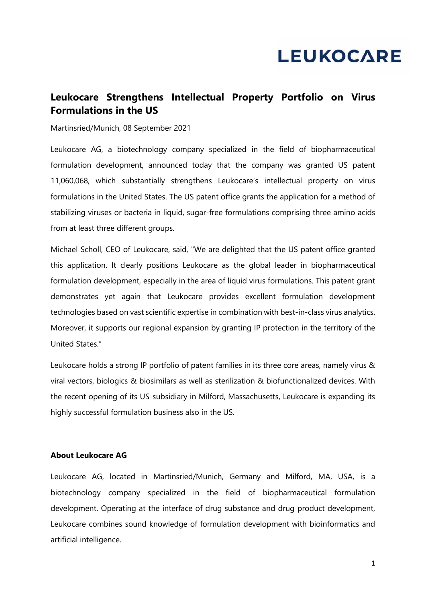## **LEUKOCARE**

## **Leukocare Strengthens Intellectual Property Portfolio on Virus Formulations in the US**

Martinsried/Munich, 08 September 2021

Leukocare AG, a biotechnology company specialized in the field of biopharmaceutical formulation development, announced today that the company was granted US patent 11,060,068, which substantially strengthens Leukocare's intellectual property on virus formulations in the United States. The US patent office grants the application for a method of stabilizing viruses or bacteria in liquid, sugar-free formulations comprising three amino acids from at least three different groups.

Michael Scholl, CEO of Leukocare, said, "We are delighted that the US patent office granted this application. It clearly positions Leukocare as the global leader in biopharmaceutical formulation development, especially in the area of liquid virus formulations. This patent grant demonstrates yet again that Leukocare provides excellent formulation development technologies based on vast scientific expertise in combination with best-in-class virus analytics. Moreover, it supports our regional expansion by granting IP protection in the territory of the United States."

Leukocare holds a strong IP portfolio of patent families in its three core areas, namely virus & viral vectors, biologics & biosimilars as well as sterilization & biofunctionalized devices. With the recent opening of its US-subsidiary in Milford, Massachusetts, Leukocare is expanding its highly successful formulation business also in the US.

## **About Leukocare AG**

Leukocare AG, located in Martinsried/Munich, Germany and Milford, MA, USA, is a biotechnology company specialized in the field of biopharmaceutical formulation development. Operating at the interface of drug substance and drug product development, Leukocare combines sound knowledge of formulation development with bioinformatics and artificial intelligence.